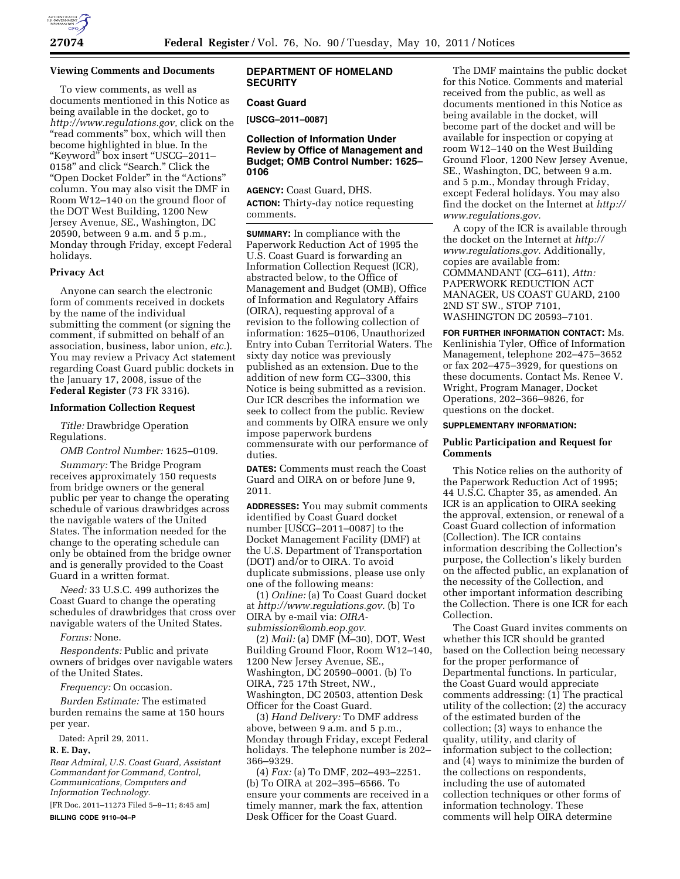

## **Viewing Comments and Documents**

To view comments, as well as documents mentioned in this Notice as being available in the docket, go to *[http://www.regulations.gov,](http://www.regulations.gov)* click on the "read comments" box, which will then become highlighted in blue. In the ''Keyword'' box insert ''USCG–2011– 0158'' and click ''Search.'' Click the ''Open Docket Folder'' in the ''Actions'' column. You may also visit the DMF in Room W12–140 on the ground floor of the DOT West Building, 1200 New Jersey Avenue, SE., Washington, DC 20590, between 9 a.m. and 5 p.m., Monday through Friday, except Federal holidays.

## **Privacy Act**

Anyone can search the electronic form of comments received in dockets by the name of the individual submitting the comment (or signing the comment, if submitted on behalf of an association, business, labor union, *etc.*). You may review a Privacy Act statement regarding Coast Guard public dockets in the January 17, 2008, issue of the **Federal Register** (73 FR 3316).

### **Information Collection Request**

*Title:* Drawbridge Operation Regulations.

*OMB Control Number:* 1625–0109.

*Summary:* The Bridge Program receives approximately 150 requests from bridge owners or the general public per year to change the operating schedule of various drawbridges across the navigable waters of the United States. The information needed for the change to the operating schedule can only be obtained from the bridge owner and is generally provided to the Coast Guard in a written format.

*Need:* 33 U.S.C. 499 authorizes the Coast Guard to change the operating schedules of drawbridges that cross over navigable waters of the United States.

*Forms:* None.

*Respondents:* Public and private owners of bridges over navigable waters of the United States.

*Frequency:* On occasion.

*Burden Estimate:* The estimated burden remains the same at 150 hours per year.

Dated: April 29, 2011.

## **R. E. Day,**

*Rear Admiral, U.S. Coast Guard, Assistant Commandant for Command, Control, Communications, Computers and Information Technology.* 

[FR Doc. 2011–11273 Filed 5–9–11; 8:45 am] **BILLING CODE 9110–04–P** 

# **DEPARTMENT OF HOMELAND SECURITY**

## **Coast Guard**

**[USCG–2011–0087]** 

# **Collection of Information Under Review by Office of Management and Budget; OMB Control Number: 1625– 0106**

**AGENCY:** Coast Guard, DHS. **ACTION:** Thirty-day notice requesting comments.

**SUMMARY:** In compliance with the Paperwork Reduction Act of 1995 the U.S. Coast Guard is forwarding an Information Collection Request (ICR), abstracted below, to the Office of Management and Budget (OMB), Office of Information and Regulatory Affairs (OIRA), requesting approval of a revision to the following collection of information: 1625–0106, Unauthorized Entry into Cuban Territorial Waters. The sixty day notice was previously published as an extension. Due to the addition of new form CG–3300, this Notice is being submitted as a revision. Our ICR describes the information we seek to collect from the public. Review and comments by OIRA ensure we only impose paperwork burdens commensurate with our performance of duties.

**DATES:** Comments must reach the Coast Guard and OIRA on or before June 9, 2011.

**ADDRESSES:** You may submit comments identified by Coast Guard docket number [USCG–2011–0087] to the Docket Management Facility (DMF) at the U.S. Department of Transportation (DOT) and/or to OIRA. To avoid duplicate submissions, please use only one of the following means:

(1) *Online:* (a) To Coast Guard docket at *[http://www.regulations.gov.](http://www.regulations.gov)* (b) To OIRA by e-mail via: *[OIRA](mailto:OIRA-submission@omb.eop.gov)[submission@omb.eop.gov](mailto:OIRA-submission@omb.eop.gov)*.

(2) *Mail:* (a) DMF (M–30), DOT, West Building Ground Floor, Room W12–140, 1200 New Jersey Avenue, SE., Washington, DC 20590–0001. (b) To OIRA, 725 17th Street, NW., Washington, DC 20503, attention Desk Officer for the Coast Guard.

(3) *Hand Delivery:* To DMF address above, between 9 a.m. and 5 p.m., Monday through Friday, except Federal holidays. The telephone number is 202– 366–9329.

(4) *Fax:* (a) To DMF, 202–493–2251. (b) To OIRA at 202–395–6566. To ensure your comments are received in a timely manner, mark the fax, attention Desk Officer for the Coast Guard.

The DMF maintains the public docket for this Notice. Comments and material received from the public, as well as documents mentioned in this Notice as being available in the docket, will become part of the docket and will be available for inspection or copying at room W12–140 on the West Building Ground Floor, 1200 New Jersey Avenue, SE., Washington, DC, between 9 a.m. and 5 p.m., Monday through Friday, except Federal holidays. You may also find the docket on the Internet at *[http://](http://www.regulations.gov)  [www.regulations.gov.](http://www.regulations.gov)* 

A copy of the ICR is available through the docket on the Internet at *[http://](http://www.regulations.gov) [www.regulations.gov.](http://www.regulations.gov)* Additionally, copies are available from: COMMANDANT (CG–611), *Attn:*  PAPERWORK REDUCTION ACT MANAGER, US COAST GUARD, 2100 2ND ST SW., STOP 7101, WASHINGTON DC 20593–7101.

**FOR FURTHER INFORMATION CONTACT:** Ms. Kenlinishia Tyler, Office of Information Management, telephone 202–475–3652 or fax 202–475–3929, for questions on these documents. Contact Ms. Renee V. Wright, Program Manager, Docket Operations, 202–366–9826, for questions on the docket.

#### **SUPPLEMENTARY INFORMATION:**

### **Public Participation and Request for Comments**

This Notice relies on the authority of the Paperwork Reduction Act of 1995; 44 U.S.C. Chapter 35, as amended. An ICR is an application to OIRA seeking the approval, extension, or renewal of a Coast Guard collection of information (Collection). The ICR contains information describing the Collection's purpose, the Collection's likely burden on the affected public, an explanation of the necessity of the Collection, and other important information describing the Collection. There is one ICR for each Collection.

The Coast Guard invites comments on whether this ICR should be granted based on the Collection being necessary for the proper performance of Departmental functions. In particular, the Coast Guard would appreciate comments addressing: (1) The practical utility of the collection; (2) the accuracy of the estimated burden of the collection; (3) ways to enhance the quality, utility, and clarity of information subject to the collection; and (4) ways to minimize the burden of the collections on respondents, including the use of automated collection techniques or other forms of information technology. These comments will help OIRA determine